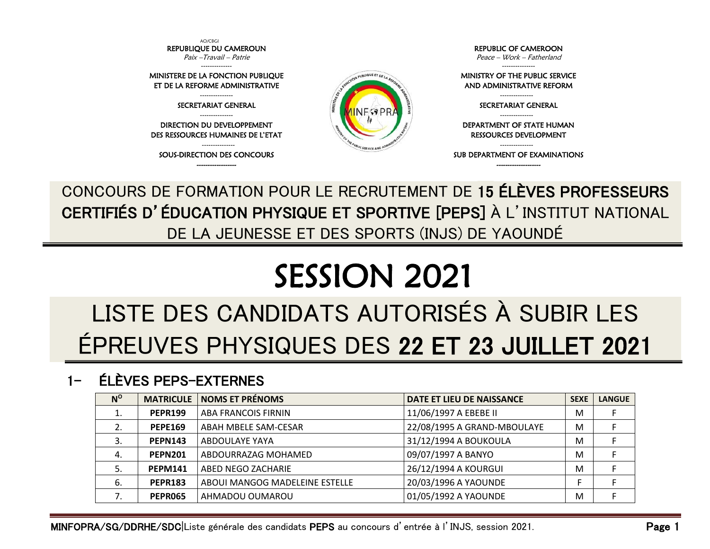

CONCOURS DE FORMATION POUR LE RECRUTEMENT DE 15 ÉLÈVES PROFESSEURS CERTIFIÉS D'ÉDUCATION PHYSIQUE ET SPORTIVE [PEPS] À L'INSTITUT NATIONAL DE LA JEUNESSE ET DES SPORTS (INJS) DE YAOUNDÉ

# SESSION 2021

## LISTE DES CANDIDATS AUTORISÉS À SUBIR LES ÉPREUVES PHYSIQUES DES 22 ET 23 JUILLET 2021

#### 1- ÉLÈVES PEPS-EXTERNES

| $N^{\rm o}$ | <b>MATRICULE</b> | <b>NOMS ET PRÉNOMS</b>         | DATE ET LIEU DE NAISSANCE   | <b>SEXE</b> | <b>LANGUE</b> |
|-------------|------------------|--------------------------------|-----------------------------|-------------|---------------|
| 1.          | <b>PEPR199</b>   | ABA FRANCOIS FIRNIN            | 11/06/1997 A EBEBE II       | M           |               |
| 2.          | <b>PEPE169</b>   | ABAH MBELE SAM-CESAR           | 22/08/1995 A GRAND-MBOULAYE | M           |               |
| 3.          | <b>PEPN143</b>   | ABDOULAYE YAYA                 | 31/12/1994 A BOUKOULA       | M           |               |
| 4.          | <b>PEPN201</b>   | ABDOURRAZAG MOHAMED            | 09/07/1997 A BANYO          | M           |               |
| 5.          | <b>PEPM141</b>   | ABED NEGO ZACHARIE             | 26/12/1994 A KOURGUI        | M           |               |
| 6.          | <b>PEPR183</b>   | ABOUI MANGOG MADELEINE ESTELLE | 20/03/1996 A YAOUNDE        |             |               |
|             | <b>PEPR065</b>   | AHMADOU OUMAROU                | 01/05/1992 A YAOUNDE        | M           |               |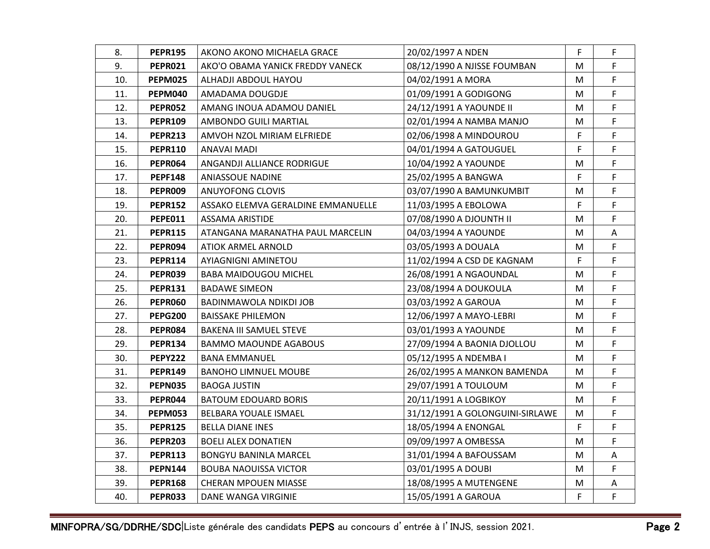| 8.  | <b>PEPR195</b> | AKONO AKONO MICHAELA GRACE         | 20/02/1997 A NDEN               | F  | F  |
|-----|----------------|------------------------------------|---------------------------------|----|----|
| 9.  | <b>PEPR021</b> | AKO'O OBAMA YANICK FREDDY VANECK   | 08/12/1990 A NJISSE FOUMBAN     | M  | F. |
| 10. | PEPM025        | ALHADJI ABDOUL HAYOU               | 04/02/1991 A MORA               | М  | F  |
| 11. | <b>PEPM040</b> | AMADAMA DOUGDJE                    | 01/09/1991 A GODIGONG           | м  | F  |
| 12. | <b>PEPR052</b> | AMANG INOUA ADAMOU DANIEL          | 24/12/1991 A YAOUNDE II         | М  | F  |
| 13. | <b>PEPR109</b> | AMBONDO GUILI MARTIAL              | 02/01/1994 A NAMBA MANJO        | М  | F  |
| 14. | <b>PEPR213</b> | AMVOH NZOL MIRIAM ELFRIEDE         | 02/06/1998 A MINDOUROU          | F. | F  |
| 15. | <b>PEPR110</b> | ANAVAI MADI                        | 04/01/1994 A GATOUGUEL          | F  | F  |
| 16. | PEPR064        | ANGANDJI ALLIANCE RODRIGUE         | 10/04/1992 A YAOUNDE            | М  | F. |
| 17. | <b>PEPF148</b> | ANIASSOUE NADINE                   | 25/02/1995 A BANGWA             | F  | F  |
| 18. | <b>PEPR009</b> | ANUYOFONG CLOVIS                   | 03/07/1990 A BAMUNKUMBIT        | M  | F  |
| 19. | <b>PEPR152</b> | ASSAKO ELEMVA GERALDINE EMMANUELLE | 11/03/1995 A EBOLOWA            | F  | F  |
| 20. | <b>PEPE011</b> | ASSAMA ARISTIDE                    | 07/08/1990 A DJOUNTH II         | М  | F  |
| 21. | <b>PEPR115</b> | ATANGANA MARANATHA PAUL MARCELIN   | 04/03/1994 A YAOUNDE            | M  | Α  |
| 22. | PEPR094        | ATIOK ARMEL ARNOLD                 | 03/05/1993 A DOUALA             | М  | F  |
| 23. | <b>PEPR114</b> | AYIAGNIGNI AMINETOU                | 11/02/1994 A CSD DE KAGNAM      | F  | F  |
| 24. | PEPR039        | <b>BABA MAIDOUGOU MICHEL</b>       | 26/08/1991 A NGAOUNDAL          | М  | F  |
| 25. | <b>PEPR131</b> | <b>BADAWE SIMEON</b>               | 23/08/1994 A DOUKOULA           | M  | F. |
| 26. | PEPR060        | BADINMAWOLA NDIKDI JOB             | 03/03/1992 A GAROUA             | М  | F  |
| 27. | <b>PEPG200</b> | <b>BAISSAKE PHILEMON</b>           | 12/06/1997 A MAYO-LEBRI         | М  | F  |
| 28. | <b>PEPR084</b> | BAKENA III SAMUEL STEVE            | 03/01/1993 A YAOUNDE            | М  | F  |
| 29. | <b>PEPR134</b> | <b>BAMMO MAOUNDE AGABOUS</b>       | 27/09/1994 A BAONIA DJOLLOU     | М  | F  |
| 30. | <b>PEPY222</b> | <b>BANA EMMANUEL</b>               | 05/12/1995 A NDEMBA I           | M  | F  |
| 31. | <b>PEPR149</b> | <b>BANOHO LIMNUEL MOUBE</b>        | 26/02/1995 A MANKON BAMENDA     | м  | F  |
| 32. | PEPN035        | <b>BAOGA JUSTIN</b>                | 29/07/1991 A TOULOUM            | M  | F  |
| 33. | PEPR044        | <b>BATOUM EDOUARD BORIS</b>        | 20/11/1991 A LOGBIKOY           | M  | F  |
| 34. | PEPM053        | BELBARA YOUALE ISMAEL              | 31/12/1991 A GOLONGUINI-SIRLAWE | М  | F  |
| 35. | <b>PEPR125</b> | <b>BELLA DIANE INES</b>            | 18/05/1994 A ENONGAL            | F  | F  |
| 36. | <b>PEPR203</b> | <b>BOELI ALEX DONATIEN</b>         | 09/09/1997 A OMBESSA            | M  | F  |
| 37. | <b>PEPR113</b> | <b>BONGYU BANINLA MARCEL</b>       | 31/01/1994 A BAFOUSSAM          | M  | Α  |
| 38. | <b>PEPN144</b> | <b>BOUBA NAOUISSA VICTOR</b>       | 03/01/1995 A DOUBI              | М  | F  |
| 39. | <b>PEPR168</b> | CHERAN MPOUEN MIASSE               | 18/08/1995 A MUTENGENE          | M  | A  |
| 40. | <b>PEPR033</b> | DANE WANGA VIRGINIE                | 15/05/1991 A GAROUA             | F  | F  |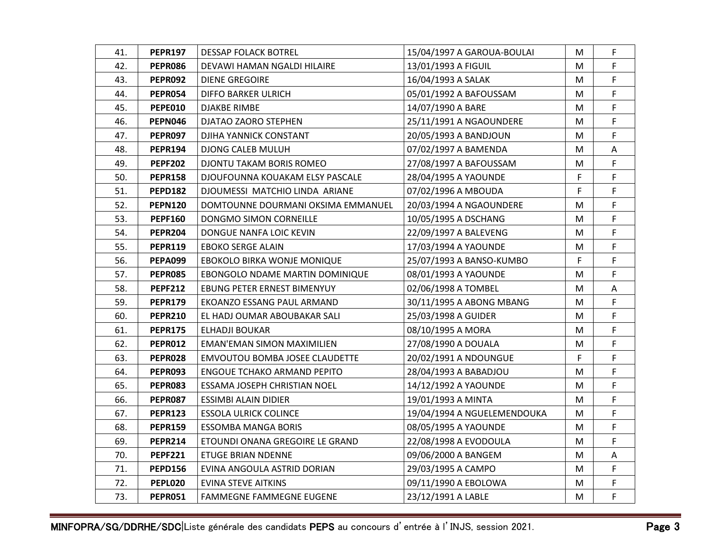| 41. | <b>PEPR197</b> | DESSAP FOLACK BOTREL               | 15/04/1997 A GAROUA-BOULAI  | М | F  |
|-----|----------------|------------------------------------|-----------------------------|---|----|
| 42. | <b>PEPR086</b> | DEVAWI HAMAN NGALDI HILAIRE        | 13/01/1993 A FIGUIL         | М | F. |
| 43. | PEPR092        | <b>DIENE GREGOIRE</b>              | 16/04/1993 A SALAK          | M | F. |
| 44. | <b>PEPR054</b> | <b>DIFFO BARKER ULRICH</b>         | 05/01/1992 A BAFOUSSAM      | М | F  |
| 45. | <b>PEPE010</b> | <b>DJAKBE RIMBE</b>                | 14/07/1990 A BARE           | М | F  |
| 46. | <b>PEPN046</b> | DJATAO ZAORO STEPHEN               | 25/11/1991 A NGAOUNDERE     | М | F  |
| 47. | PEPR097        | DJIHA YANNICK CONSTANT             | 20/05/1993 A BANDJOUN       | M | F. |
| 48. | <b>PEPR194</b> | DJONG CALEB MULUH                  | 07/02/1997 A BAMENDA        | M | Α  |
| 49. | <b>PEPF202</b> | DJONTU TAKAM BORIS ROMEO           | 27/08/1997 A BAFOUSSAM      | М | F  |
| 50. | <b>PEPR158</b> | DJOUFOUNNA KOUAKAM ELSY PASCALE    | 28/04/1995 A YAOUNDE        | F | F. |
| 51. | <b>PEPD182</b> | DJOUMESSI MATCHIO LINDA ARIANE     | 07/02/1996 A MBOUDA         | F | F  |
| 52. | <b>PEPN120</b> | DOMTOUNNE DOURMANI OKSIMA EMMANUEL | 20/03/1994 A NGAOUNDERE     | M | F  |
| 53. | <b>PEPF160</b> | DONGMO SIMON CORNEILLE             | 10/05/1995 A DSCHANG        | М | F  |
| 54. | <b>PEPR204</b> | DONGUE NANFA LOIC KEVIN            | 22/09/1997 A BALEVENG       | м | F  |
| 55. | <b>PEPR119</b> | EBOKO SERGE ALAIN                  | 17/03/1994 A YAOUNDE        | M | F  |
| 56. | <b>PEPA099</b> | EBOKOLO BIRKA WONJE MONIQUE        | 25/07/1993 A BANSO-KUMBO    | F | F  |
| 57. | <b>PEPR085</b> | EBONGOLO NDAME MARTIN DOMINIQUE    | 08/01/1993 A YAOUNDE        | M | F  |
| 58. | <b>PEPF212</b> | EBUNG PETER ERNEST BIMENYUY        | 02/06/1998 A TOMBEL         | М | A  |
| 59. | <b>PEPR179</b> | EKOANZO ESSANG PAUL ARMAND         | 30/11/1995 A ABONG MBANG    | м | F  |
| 60. | <b>PEPR210</b> | EL HADJ OUMAR ABOUBAKAR SALI       | 25/03/1998 A GUIDER         | М | F  |
| 61. | <b>PEPR175</b> | ELHADJI BOUKAR                     | 08/10/1995 A MORA           | М | F  |
| 62. | <b>PEPR012</b> | EMAN'EMAN SIMON MAXIMILIEN         | 27/08/1990 A DOUALA         | м | F  |
| 63. | PEPR028        | EMVOUTOU BOMBA JOSEE CLAUDETTE     | 20/02/1991 A NDOUNGUE       | F | F  |
| 64. | PEPR093        | <b>ENGOUE TCHAKO ARMAND PEPITO</b> | 28/04/1993 A BABADJOU       | М | F  |
| 65. | PEPR083        | ESSAMA JOSEPH CHRISTIAN NOEL       | 14/12/1992 A YAOUNDE        | M | F  |
| 66. | PEPR087        | ESSIMBI ALAIN DIDIER               | 19/01/1993 A MINTA          | M | F. |
| 67. | <b>PEPR123</b> | <b>ESSOLA ULRICK COLINCE</b>       | 19/04/1994 A NGUELEMENDOUKA | М | F  |
| 68. | <b>PEPR159</b> | <b>ESSOMBA MANGA BORIS</b>         | 08/05/1995 A YAOUNDE        | М | F. |
| 69. | <b>PEPR214</b> | ETOUNDI ONANA GREGOIRE LE GRAND    | 22/08/1998 A EVODOULA       | M | F  |
| 70. | <b>PEPF221</b> | ETUGE BRIAN NDENNE                 | 09/06/2000 A BANGEM         | M | Α  |
| 71. | <b>PEPD156</b> | EVINA ANGOULA ASTRID DORIAN        | 29/03/1995 A CAMPO          | М | F  |
| 72. | <b>PEPL020</b> | <b>EVINA STEVE AITKINS</b>         | 09/11/1990 A EBOLOWA        | M | F. |
| 73. | <b>PEPR051</b> | <b>FAMMEGNE FAMMEGNE EUGENE</b>    | 23/12/1991 A LABLE          | М | F  |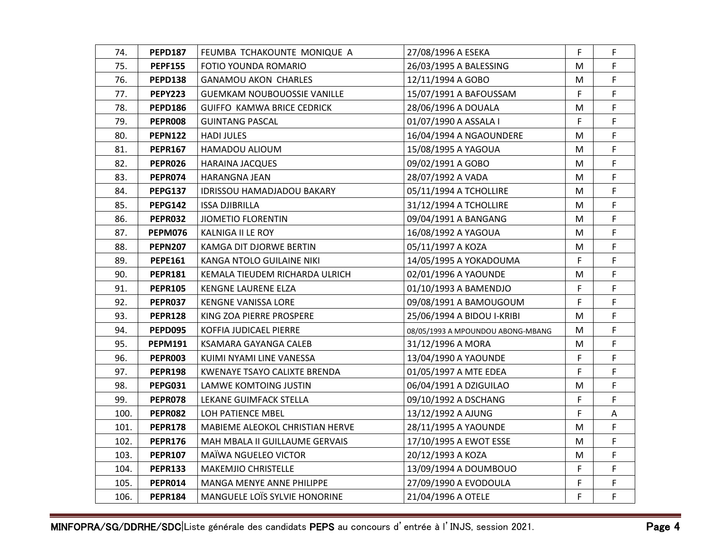| 74.  | <b>PEPD187</b> | FEUMBA TCHAKOUNTE MONIQUE A        | 27/08/1996 A ESEKA                | F. | F  |
|------|----------------|------------------------------------|-----------------------------------|----|----|
| 75.  | <b>PEPF155</b> | FOTIO YOUNDA ROMARIO               | 26/03/1995 A BALESSING            | М  | F. |
| 76.  | <b>PEPD138</b> | <b>GANAMOU AKON CHARLES</b>        | 12/11/1994 A GOBO                 | М  | F. |
| 77.  | <b>PEPY223</b> | <b>GUEMKAM NOUBOUOSSIE VANILLE</b> | 15/07/1991 A BAFOUSSAM            | F  | F  |
| 78.  | <b>PEPD186</b> | <b>GUIFFO KAMWA BRICE CEDRICK</b>  | 28/06/1996 A DOUALA               | М  | F  |
| 79.  | <b>PEPR008</b> | <b>GUINTANG PASCAL</b>             | 01/07/1990 A ASSALA I             | F  | F  |
| 80.  | <b>PEPN122</b> | <b>HADI JULES</b>                  | 16/04/1994 A NGAOUNDERE           | М  | F  |
| 81.  | <b>PEPR167</b> | HAMADOU ALIOUM                     | 15/08/1995 A YAGOUA               | М  | F  |
| 82.  | PEPR026        | <b>HARAINA JACQUES</b>             | 09/02/1991 A GOBO                 | М  | F  |
| 83.  | PEPR074        | HARANGNA JEAN                      | 28/07/1992 A VADA                 | M  | F  |
| 84.  | PEPG137        | IDRISSOU HAMADJADOU BAKARY         | 05/11/1994 A TCHOLLIRE            | М  | F  |
| 85.  | <b>PEPG142</b> | <b>ISSA DJIBRILLA</b>              | 31/12/1994 A TCHOLLIRE            | М  | F  |
| 86.  | PEPR032        | <b>JIOMETIO FLORENTIN</b>          | 09/04/1991 A BANGANG              | М  | F  |
| 87.  | PEPM076        | KALNIGA II LE ROY                  | 16/08/1992 A YAGOUA               | м  | F  |
| 88.  | <b>PEPN207</b> | KAMGA DIT DJORWE BERTIN            | 05/11/1997 A KOZA                 | M  | F  |
| 89.  | <b>PEPE161</b> | KANGA NTOLO GUILAINE NIKI          | 14/05/1995 A YOKADOUMA            | F  | F  |
| 90.  | <b>PEPR181</b> | KEMALA TIEUDEM RICHARDA ULRICH     | 02/01/1996 A YAOUNDE              | М  | F  |
| 91.  | <b>PEPR105</b> | KENGNE LAURENE ELZA                | 01/10/1993 A BAMENDJO             | F. | F  |
| 92.  | <b>PEPR037</b> | KENGNE VANISSA LORE                | 09/08/1991 A BAMOUGOUM            | F  | F  |
| 93.  | <b>PEPR128</b> | KING ZOA PIERRE PROSPERE           | 25/06/1994 A BIDOU I-KRIBI        | M  | F  |
| 94.  | <b>PEPD095</b> | KOFFIA JUDICAEL PIERRE             | 08/05/1993 A MPOUNDOU ABONG-MBANG | M  | F  |
| 95.  | <b>PEPM191</b> | KSAMARA GAYANGA CALEB              | 31/12/1996 A MORA                 | М  | F  |
| 96.  | <b>PEPR003</b> | KUIMI NYAMI LINE VANESSA           | 13/04/1990 A YAOUNDE              | F  | F  |
| 97.  | <b>PEPR198</b> | KWENAYE TSAYO CALIXTE BRENDA       | 01/05/1997 A MTE EDEA             | F  | F. |
| 98.  | <b>PEPG031</b> | LAMWE KOMTOING JUSTIN              | 06/04/1991 A DZIGUILAO            | M  | F  |
| 99.  | <b>PEPR078</b> | LEKANE GUIMFACK STELLA             | 09/10/1992 A DSCHANG              | F  | F  |
| 100. | <b>PEPR082</b> | LOH PATIENCE MBEL                  | 13/12/1992 A AJUNG                | F  | Α  |
| 101. | <b>PEPR178</b> | MABIEME ALEOKOL CHRISTIAN HERVE    | 28/11/1995 A YAOUNDE              | М  | F  |
| 102. | <b>PEPR176</b> | MAH MBALA II GUILLAUME GERVAIS     | 17/10/1995 A EWOT ESSE            | М  | F  |
| 103. | <b>PEPR107</b> | MAÏWA NGUELEO VICTOR               | 20/12/1993 A KOZA                 | м  | F. |
| 104. | <b>PEPR133</b> | MAKEMJIO CHRISTELLE                | 13/09/1994 A DOUMBOUO             | F  | F  |
| 105. | <b>PEPR014</b> | MANGA MENYE ANNE PHILIPPE          | 27/09/1990 A EVODOULA             | F  | F. |
| 106. | <b>PEPR184</b> | MANGUELE LOÏS SYLVIE HONORINE      | 21/04/1996 A OTELE                | F  | F  |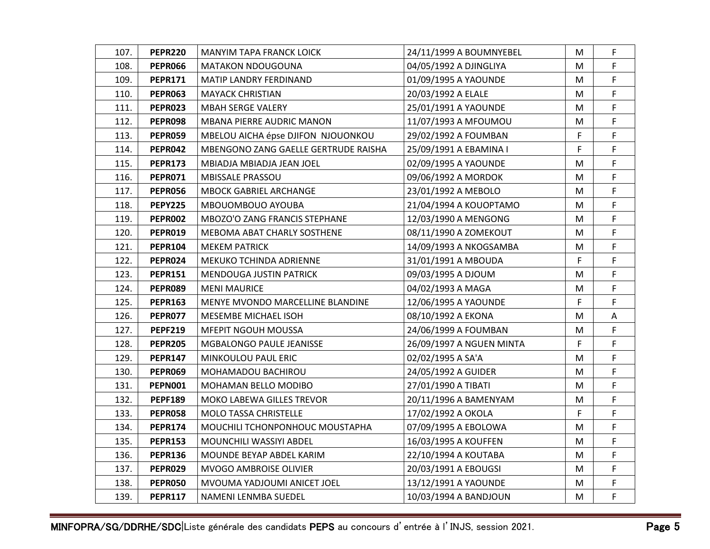| 107. | <b>PEPR220</b> | MANYIM TAPA FRANCK LOICK             | 24/11/1999 A BOUMNYEBEL  | М  | F  |
|------|----------------|--------------------------------------|--------------------------|----|----|
| 108. | <b>PEPR066</b> | <b>MATAKON NDOUGOUNA</b>             | 04/05/1992 A DJINGLIYA   | M  | F. |
| 109. | <b>PEPR171</b> | MATIP LANDRY FERDINAND               | 01/09/1995 A YAOUNDE     | M  | F. |
| 110. | <b>PEPR063</b> | <b>MAYACK CHRISTIAN</b>              | 20/03/1992 A ELALE       | M  | F  |
| 111. | <b>PEPR023</b> | <b>MBAH SERGE VALERY</b>             | 25/01/1991 A YAOUNDE     | М  | F. |
| 112. | <b>PEPR098</b> | <b>MBANA PIERRE AUDRIC MANON</b>     | 11/07/1993 A MFOUMOU     | M  | F  |
| 113. | PEPR059        | MBELOU AICHA épse DJIFON NJOUONKOU   | 29/02/1992 A FOUMBAN     | F  | F  |
| 114. | <b>PEPR042</b> | MBENGONO ZANG GAELLE GERTRUDE RAISHA | 25/09/1991 A EBAMINA I   | F  | F  |
| 115. | <b>PEPR173</b> | MBIADJA MBIADJA JEAN JOEL            | 02/09/1995 A YAOUNDE     | M  | F  |
| 116. | <b>PEPR071</b> | MBISSALE PRASSOU                     | 09/06/1992 A MORDOK      | M  | F  |
| 117. | <b>PEPR056</b> | MBOCK GABRIEL ARCHANGE               | 23/01/1992 A MEBOLO      | M  | F. |
| 118. | <b>PEPY225</b> | MBOUOMBOUO AYOUBA                    | 21/04/1994 A KOUOPTAMO   | M  | F  |
| 119. | <b>PEPR002</b> | MBOZO'O ZANG FRANCIS STEPHANE        | 12/03/1990 A MENGONG     | М  | F  |
| 120. | <b>PEPR019</b> | MEBOMA ABAT CHARLY SOSTHENE          | 08/11/1990 A ZOMEKOUT    | м  | F  |
| 121. | <b>PEPR104</b> | <b>MEKEM PATRICK</b>                 | 14/09/1993 A NKOGSAMBA   | M  | F  |
| 122. | <b>PEPR024</b> | MEKUKO TCHINDA ADRIENNE              | 31/01/1991 A MBOUDA      | F  | F  |
| 123. | <b>PEPR151</b> | MENDOUGA JUSTIN PATRICK              | 09/03/1995 A DJOUM       | M  | F  |
| 124. | PEPR089        | <b>MENI MAURICE</b>                  | 04/02/1993 A MAGA        | м  | F. |
| 125. | <b>PEPR163</b> | MENYE MVONDO MARCELLINE BLANDINE     | 12/06/1995 A YAOUNDE     | F  | F  |
| 126. | PEPR077        | MESEMBE MICHAEL ISOH                 | 08/10/1992 A EKONA       | Μ  | Α  |
| 127. | <b>PEPF219</b> | MFEPIT NGOUH MOUSSA                  | 24/06/1999 A FOUMBAN     | M  | F  |
| 128. | <b>PEPR205</b> | MGBALONGO PAULE JEANISSE             | 26/09/1997 A NGUEN MINTA | F  | F  |
| 129. | <b>PEPR147</b> | <b>MINKOULOU PAUL ERIC</b>           | 02/02/1995 A SA'A        | M  | F  |
| 130. | PEPR069        | MOHAMADOU BACHIROU                   | 24/05/1992 A GUIDER      | Μ  | F  |
| 131. | <b>PEPN001</b> | MOHAMAN BELLO MODIBO                 | 27/01/1990 A TIBATI      | М  | F  |
| 132. | <b>PEPF189</b> | MOKO LABEWA GILLES TREVOR            | 20/11/1996 A BAMENYAM    | M  | F  |
| 133. | <b>PEPR058</b> | <b>MOLO TASSA CHRISTELLE</b>         | 17/02/1992 A OKOLA       | F. | F  |
| 134. | <b>PEPR174</b> | MOUCHILI TCHONPONHOUC MOUSTAPHA      | 07/09/1995 A EBOLOWA     | М  | F  |
| 135. | <b>PEPR153</b> | MOUNCHILI WASSIYI ABDEL              | 16/03/1995 A KOUFFEN     | M  | F  |
| 136. | <b>PEPR136</b> | MOUNDE BEYAP ABDEL KARIM             | 22/10/1994 A KOUTABA     | M  | F  |
| 137. | <b>PEPR029</b> | <b>MVOGO AMBROISE OLIVIER</b>        | 20/03/1991 A EBOUGSI     | M  | F  |
| 138. | <b>PEPR050</b> | MVOUMA YADJOUMI ANICET JOEL          | 13/12/1991 A YAOUNDE     | M  | F  |
| 139. | <b>PEPR117</b> | NAMENI LENMBA SUEDEL                 | 10/03/1994 A BANDJOUN    | M  | F  |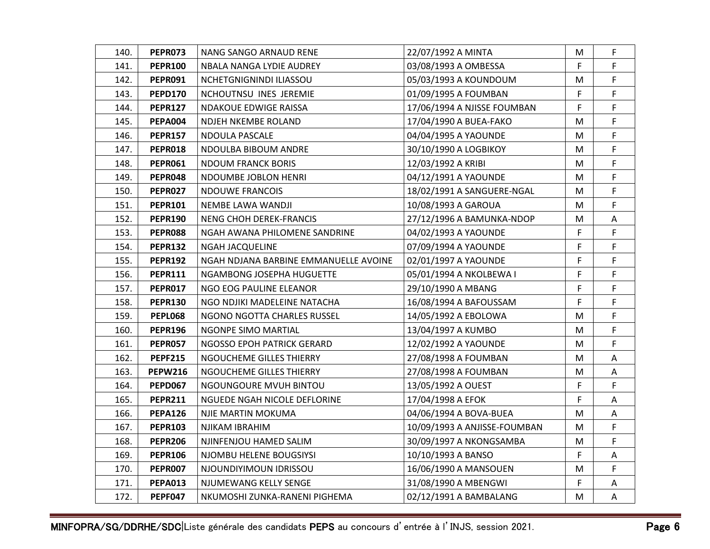| 140. | PEPR073        | NANG SANGO ARNAUD RENE                | 22/07/1992 A MINTA           | М  | F  |
|------|----------------|---------------------------------------|------------------------------|----|----|
| 141. | <b>PEPR100</b> | NBALA NANGA LYDIE AUDREY              | 03/08/1993 A OMBESSA         | F. | F. |
| 142. | <b>PEPR091</b> | NCHETGNIGNINDI ILIASSOU               | 05/03/1993 A KOUNDOUM        | Μ  | F. |
| 143. | <b>PEPD170</b> | NCHOUTNSU INES JEREMIE                | 01/09/1995 A FOUMBAN         | F  | F  |
| 144. | <b>PEPR127</b> | NDAKOUE EDWIGE RAISSA                 | 17/06/1994 A NJISSE FOUMBAN  | F  | F  |
| 145. | <b>PEPA004</b> | NDJEH NKEMBE ROLAND                   | 17/04/1990 A BUEA-FAKO       | M  | F  |
| 146. | <b>PEPR157</b> | NDOULA PASCALE                        | 04/04/1995 A YAOUNDE         | M  | F  |
| 147. | PEPR018        | NDOULBA BIBOUM ANDRE                  | 30/10/1990 A LOGBIKOY        | M  | F  |
| 148. | PEPRO61        | <b>NDOUM FRANCK BORIS</b>             | 12/03/1992 A KRIBI           | М  | F  |
| 149. | PEPR048        | NDOUMBE JOBLON HENRI                  | 04/12/1991 A YAOUNDE         | M  | F  |
| 150. | PEPR027        | NDOUWE FRANCOIS                       | 18/02/1991 A SANGUERE-NGAL   | M  | F  |
| 151. | <b>PEPR101</b> | NEMBE LAWA WANDJI                     | 10/08/1993 A GAROUA          | М  | F  |
| 152. | <b>PEPR190</b> | NENG CHOH DEREK-FRANCIS               | 27/12/1996 A BAMUNKA-NDOP    | M  | A  |
| 153. | <b>PEPR088</b> | NGAH AWANA PHILOMENE SANDRINE         | 04/02/1993 A YAOUNDE         | F  | F  |
| 154. | <b>PEPR132</b> | <b>NGAH JACQUELINE</b>                | 07/09/1994 A YAOUNDE         | F. | F  |
| 155. | <b>PEPR192</b> | NGAH NDJANA BARBINE EMMANUELLE AVOINE | 02/01/1997 A YAOUNDE         | F  | F  |
| 156. | <b>PEPR111</b> | NGAMBONG JOSEPHA HUGUETTE             | 05/01/1994 A NKOLBEWA I      | F  | F  |
| 157. | PEPR017        | NGO EOG PAULINE ELEANOR               | 29/10/1990 A MBANG           | F  | F  |
| 158. | <b>PEPR130</b> | NGO NDJIKI MADELEINE NATACHA          | 16/08/1994 A BAFOUSSAM       | F  | F  |
| 159. | PEPL068        | NGONO NGOTTA CHARLES RUSSEL           | 14/05/1992 A EBOLOWA         | М  | F  |
| 160. | <b>PEPR196</b> | NGONPE SIMO MARTIAL                   | 13/04/1997 A KUMBO           | M  | F  |
| 161. | <b>PEPR057</b> | NGOSSO EPOH PATRICK GERARD            | 12/02/1992 A YAOUNDE         | М  | F  |
| 162. | <b>PEPF215</b> | NGOUCHEME GILLES THIERRY              | 27/08/1998 A FOUMBAN         | M  | A  |
| 163. | <b>PEPW216</b> | NGOUCHEME GILLES THIERRY              | 27/08/1998 A FOUMBAN         | М  | A  |
| 164. | <b>PEPD067</b> | NGOUNGOURE MVUH BINTOU                | 13/05/1992 A OUEST           | F  | F  |
| 165. | <b>PEPR211</b> | NGUEDE NGAH NICOLE DEFLORINE          | 17/04/1998 A EFOK            | F  | A  |
| 166. | <b>PEPA126</b> | NJIE MARTIN MOKUMA                    | 04/06/1994 A BOVA-BUEA       | M  | Α  |
| 167. | <b>PEPR103</b> | NJIKAM IBRAHIM                        | 10/09/1993 A ANJISSE-FOUMBAN | М  | F. |
| 168. | <b>PEPR206</b> | NJINFENJOU HAMED SALIM                | 30/09/1997 A NKONGSAMBA      | M  | F  |
| 169. | <b>PEPR106</b> | NJOMBU HELENE BOUGSIYSI               | 10/10/1993 A BANSO           | F. | Α  |
| 170. | PEPR007        | NJOUNDIYIMOUN IDRISSOU                | 16/06/1990 A MANSOUEN        | M  | F  |
| 171. | <b>PEPA013</b> | NJUMEWANG KELLY SENGE                 | 31/08/1990 A MBENGWI         | F  | A  |
| 172. | <b>PEPF047</b> | NKUMOSHI ZUNKA-RANENI PIGHEMA         | 02/12/1991 A BAMBALANG       | M  | A  |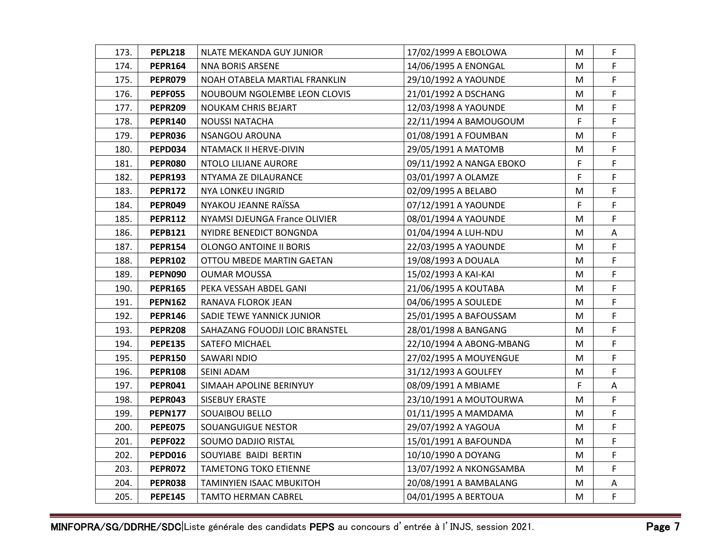| 173. | <b>PEPL218</b> | NLATE MEKANDA GUY JUNIOR       | 17/02/1999 A EBOLOWA     | М  | F  |
|------|----------------|--------------------------------|--------------------------|----|----|
| 174. | <b>PEPR164</b> | <b>NNA BORIS ARSENE</b>        | 14/06/1995 A ENONGAL     | M  | F. |
| 175. | PEPR079        | NOAH OTABELA MARTIAL FRANKLIN  | 29/10/1992 A YAOUNDE     | M  | F. |
| 176. | <b>PEPF055</b> | NOUBOUM NGOLEMBE LEON CLOVIS   | 21/01/1992 A DSCHANG     | M  | F  |
| 177. | <b>PEPR209</b> | NOUKAM CHRIS BEJART            | 12/03/1998 A YAOUNDE     | М  | F  |
| 178. | <b>PEPR140</b> | <b>NOUSSI NATACHA</b>          | 22/11/1994 A BAMOUGOUM   | F  | F  |
| 179. | PEPR036        | NSANGOU AROUNA                 | 01/08/1991 A FOUMBAN     | M  | F. |
| 180. | PEPD034        | NTAMACK II HERVE-DIVIN         | 29/05/1991 A MATOMB      | M  | F  |
| 181. | PEPR080        | NTOLO LILIANE AURORE           | 09/11/1992 A NANGA EBOKO | F  | F  |
| 182. | <b>PEPR193</b> | NTYAMA ZE DILAURANCE           | 03/01/1997 A OLAMZE      | F  | F  |
| 183. | <b>PEPR172</b> | NYA LONKEU INGRID              | 02/09/1995 A BELABO      | M  | F  |
| 184. | PEPR049        | NYAKOU JEANNE RAÏSSA           | 07/12/1991 A YAOUNDE     | F  | F  |
| 185. | <b>PEPR112</b> | NYAMSI DJEUNGA France OLIVIER  | 08/01/1994 A YAOUNDE     | M  | F  |
| 186. | <b>PEPB121</b> | NYIDRE BENEDICT BONGNDA        | 01/04/1994 A LUH-NDU     | M  | A  |
| 187. | <b>PEPR154</b> | OLONGO ANTOINE II BORIS        | 22/03/1995 A YAOUNDE     | M  | F  |
| 188. | <b>PEPR102</b> | OTTOU MBEDE MARTIN GAETAN      | 19/08/1993 A DOUALA      | М  | F  |
| 189. | PEPN090        | <b>OUMAR MOUSSA</b>            | 15/02/1993 A KAI-KAI     | M  | F  |
| 190. | <b>PEPR165</b> | PEKA VESSAH ABDEL GANI         | 21/06/1995 A KOUTABA     | M  | F  |
| 191. | <b>PEPN162</b> | RANAVA FLOROK JEAN             | 04/06/1995 A SOULEDE     | M  | F  |
| 192. | PEPR146        | SADIE TEWE YANNICK JUNIOR      | 25/01/1995 A BAFOUSSAM   | М  | F  |
| 193. | <b>PEPR208</b> | SAHAZANG FOUODJI LOIC BRANSTEL | 28/01/1998 A BANGANG     | M  | F  |
| 194. | <b>PEPE135</b> | SATEFO MICHAEL                 | 22/10/1994 A ABONG-MBANG | Μ  | F  |
| 195. | <b>PEPR150</b> | SAWARI NDIO                    | 27/02/1995 A MOUYENGUE   | M  | F  |
| 196. | <b>PEPR108</b> | SEINI ADAM                     | 31/12/1993 A GOULFEY     | М  | F  |
| 197. | PEPR041        | SIMAAH APOLINE BERINYUY        | 08/09/1991 A MBIAME      | F. | A  |
| 198. | PEPR043        | SISEBUY ERASTE                 | 23/10/1991 A MOUTOURWA   | м  | F. |
| 199. | <b>PEPN177</b> | SOUAIBOU BELLO                 | 01/11/1995 A MAMDAMA     | M  | F  |
| 200. | <b>PEPE075</b> | SOUANGUIGUE NESTOR             | 29/07/1992 A YAGOUA      | Μ  | F  |
| 201. | <b>PEPF022</b> | SOUMO DADJIO RISTAL            | 15/01/1991 A BAFOUNDA    | M  | F  |
| 202. | <b>PEPD016</b> | SOUYIABE BAIDI BERTIN          | 10/10/1990 A DOYANG      | М  | F  |
| 203. | PEPR072        | TAMETONG TOKO ETIENNE          | 13/07/1992 A NKONGSAMBA  | M  | F  |
| 204. | PEPR038        | TAMINYIEN ISAAC MBUKITOH       | 20/08/1991 A BAMBALANG   | M  | A  |
| 205. | <b>PEPE145</b> | <b>TAMTO HERMAN CABREL</b>     | 04/01/1995 A BERTOUA     | M  | F  |